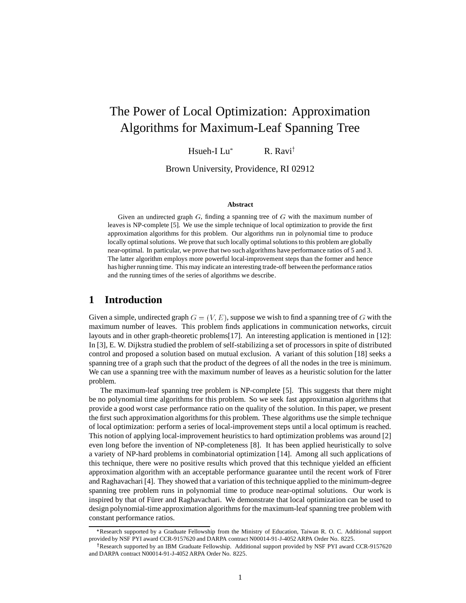# The Power of Local Optimization: Approximation Algorithms for Maximum-Leaf Spanning Tree

Hsueh-I Lu  $R. Ravi<sup>†</sup>$ 

Brown University, Providence, RI 02912

#### **Abstract**

Given an undirected graph  $G$ , finding a spanning tree of  $G$  with the maximum number of leaves is NP-complete [5]. We use the simple technique of local optimization to provide the first approximation algorithms for this problem. Our algorithms run in polynomial time to produce locally optimal solutions. We prove that such locally optimal solutions to this problem are globally near-optimal. In particular, we prove that two such algorithms have performance ratios of 5 and 3. The latter algorithm employs more powerful local-improvement steps than the former and hence has higher running time. This may indicate an interesting trade-off between the performance ratios and the running times of the series of algorithms we describe.

### **1 Introduction**

Given a simple, undirected graph  $G = (V, E)$ , suppose we wish to find a spanning tree of G with the maximum number of leaves. This problem finds applications in communication networks, circuit layouts and in other graph-theoretic problems[17]. An interesting application is mentioned in [12]: In [3], E. W. Dijkstra studied the problem of self-stabilizing a set of processors in spite of distributed control and proposed a solution based on mutual exclusion. A variant of this solution [18] seeks a spanning tree of a graph such that the product of the degrees of all the nodes in the tree is minimum. We can use a spanning tree with the maximum number of leaves as a heuristic solution for the latter problem.

The maximum-leaf spanning tree problem is NP-complete [5]. This suggests that there might be no polynomial time algorithms for this problem. So we seek fast approximation algorithms that provide a good worst case performance ratio on the quality of the solution. In this paper, we present the first such approximation algorithms for this problem. These algorithms use the simple technique of local optimization: perform a series of local-improvement steps until a local optimum is reached. This notion of applying local-improvement heuristics to hard optimization problems was around [2] even long before the invention of NP-completeness [8]. It has been applied heuristically to solve a variety of NP-hard problems in combinatorial optimization [14]. Among all such applications of this technique, there were no positive results which proved that this technique yielded an efficient approximation algorithm with an acceptable performance guarantee until the recent work of Fürer and Raghavachari [4]. They showed that a variation of this technique applied to the minimum-degree spanning tree problem runs in polynomial time to produce near-optimal solutions. Our work is inspired by that of Fürer and Raghavachari. We demonstrate that local optimization can be used to design polynomial-time approximation algorithms for the maximum-leaf spanning tree problem with constant performance ratios.

Research supported by a Graduate Fellowship from the Ministry of Education, Taiwan R. O. C. Additional support provided by NSF PYI award CCR-9157620 and DARPA contract N00014-91-J-4052 ARPA Order No. 8225.

<sup>&</sup>lt;sup>†</sup>Research supported by an IBM Graduate Fellowship. Additional support provided by NSF PYI award CCR-9157620 and DARPA contract N00014-91-J-4052 ARPA Order No. 8225.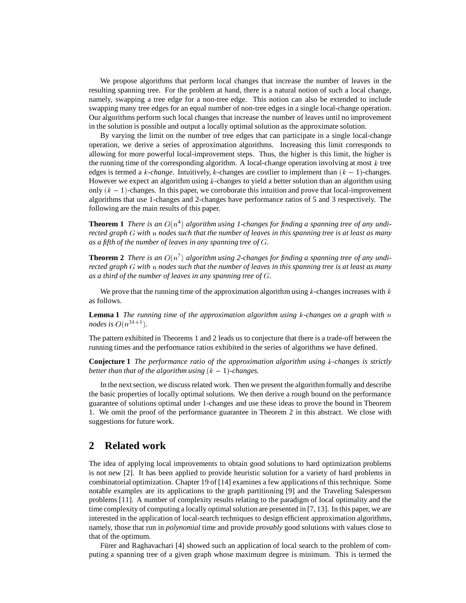We propose algorithms that perform local changes that increase the number of leaves in the resulting spanning tree. For the problem at hand, there is a natural notion of such a local change, namely, swapping a tree edge for a non-tree edge. This notion can also be extended to include swapping many tree edges for an equal number of non-tree edges in a single local-change operation. Our algorithms perform such local changes that increase the number of leaves until no improvement in the solution is possible and output a locally optimal solution as the approximate solution.

By varying the limit on the number of tree edges that can participate in a single local-change operation, we derive a series of approximation algorithms. Increasing this limit corresponds to allowing for more powerful local-improvement steps. Thus, the higher is this limit, the higher is the running time of the corresponding algorithm. A local-change operation involving at most  $k$  tree edges is termed a  $k$ -*change*. Intuitively,  $k$ -changes are costlier to implement than  $(k - 1)$ -changes. However we expect an algorithm using  $k$ -changes to yield a better solution than an algorithm using only  $(k - 1)$ -changes. In this paper, we corroborate this intuition and prove that local-improvement algorithms that use 1-changes and 2-changes have performance ratios of 5 and 3 respectively. The following are the main results of this paper.

**Theorem 1** *There is an*  $O(n^4)$  algorithm using 1-changes for finding a spanning tree of any undi*rected graph* <sup>G</sup> *with* <sup>n</sup> *nodes such that the number of leaves in this spanning tree is at least as many as a fifth of the number of leaves in any spanning tree of* <sup>G</sup>*.*

**Theorem 2** *There is an*  $O(n^7)$  algorithm using 2-changes for finding a spanning tree of any undi*rected graph* <sup>G</sup> *with* <sup>n</sup> *nodes such that the number of leaves in this spanning tree is at least as many as a third of the number of leaves in any spanning tree of* <sup>G</sup>*.*

We prove that the running time of the approximation algorithm using  $k$ -changes increases with  $k$ as follows.

**Lemma 1** *The running time of the approximation algorithm using* <sup>k</sup>*-changes on a graph with* <sup>n</sup> *nodes is*  $O(n^{3k+1})$ *.* 

The pattern exhibited in Theorems 1 and 2 leads us to conjecture that there is a trade-off between the running times and the performance ratios exhibited in the series of algorithms we have defined.

**Conjecture 1** *The performance ratio of the approximation algorithm using* <sup>k</sup>*-changes is strictly better than that of the algorithm using*  $(k - 1)$ *-changes.* 

In the next section, we discuss related work. Then we present the algorithm formally and describe the basic properties of locally optimal solutions. We then derive a rough bound on the performance guarantee of solutions optimal under 1-changes and use these ideas to prove the bound in Theorem 1. We omit the proof of the performance guarantee in Theorem 2 in this abstract. We close with suggestions for future work.

### **2 Related work**

The idea of applying local improvements to obtain good solutions to hard optimization problems is not new [2]. It has been applied to provide heuristic solution for a variety of hard problems in combinatorial optimization. Chapter 19 of [14] examines a few applications of this technique. Some notable examples are its applications to the graph partitioning [9] and the Traveling Salesperson problems [11]. A number of complexity results relating to the paradigm of local optimality and the time complexity of computing a locally optimal solution are presented in [7, 13]. In this paper, we are interested in the application of local-search techniques to design efficient approximation algorithms, namely, those that run in *polynomial* time and provide *provably* good solutions with values close to that of the optimum.

Furer and Raghavachari [4] showed such an application of local search to the problem of computing a spanning tree of a given graph whose maximum degree is minimum. This is termed the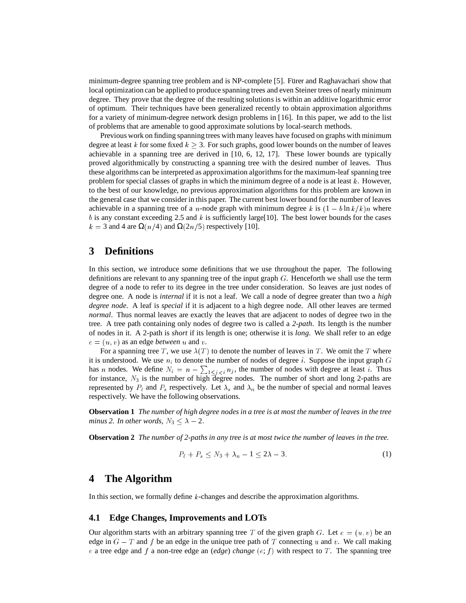minimum-degree spanning tree problem and is NP-complete [5]. Furer and Raghavachari show that local optimization can be applied to produce spanning trees and even Steiner trees of nearly minimum degree. They prove that the degree of the resulting solutions is within an additive logarithmic error of optimum. Their techniques have been generalized recently to obtain approximation algorithms for a variety of minimum-degree network design problems in [16]. In this paper, we add to the list of problems that are amenable to good approximate solutions by local-search methods.

Previous work on finding spanning trees with many leaves have focused on graphs with minimum degree at least k for some fixed  $k \geq 3$ . For such graphs, good lower bounds on the number of leaves achievable in a spanning tree are derived in [10, 6, 12, 17]. These lower bounds are typically proved algorithmically by constructing a spanning tree with the desired number of leaves. Thus these algorithms can be interpreted as approximation algorithms for the maximum-leaf spanning tree problem for special classes of graphs in which the minimum degree of a node is at least  $k$ . However, to the best of our knowledge, no previous approximation algorithms for this problem are known in the general case that we consider in this paper. The current best lower bound for the number of leaves achievable in a spanning tree of a n-node graph with minimum degree k is  $(1 - b \ln k/k)n$  where  $b$  is any constant exceeding 2.5 and  $k$  is sufficiently large[10]. The best lower bounds for the cases  $k = 3$  and 4 are  $\Omega(n/4)$  and  $\Omega(2n/5)$  respectively [10].

## **3 Definitions**

In this section, we introduce some definitions that we use throughout the paper. The following definitions are relevant to any spanning tree of the input graph  $G$ . Henceforth we shall use the term degree of a node to refer to its degree in the tree under consideration. So leaves are just nodes of degree one. A node is *internal* if it is not a leaf. We call a node of degree greater than two a *high degree node*. A leaf is *special* if it is adjacent to a high degree node. All other leaves are termed *normal*. Thus normal leaves are exactly the leaves that are adjacent to nodes of degree two in the tree. A tree path containing only nodes of degree two is called a *2-path*. Its length is the number of nodes in it. A 2-path is *short* if its length is one; otherwise it is *long*. We shall refer to an edge  $e = (u, v)$  as an edge *between* u and v.

For a spanning tree T, we use  $\lambda(T)$  to denote the number of leaves in T. We omit the T where it is understood. We use  $n_i$  to denote the number of nodes of degree i. Suppose the input graph G has *n* nodes. We define  $N_i = n - \sum_{1 \leq j < i} n_j$ , the number of nodes with degree at least *i*. Thus for instance,  $N_3$  is the number of high degree nodes. The number of short and long 2-paths are represented by  $P_\ell$  and  $P_s$  respectively. Let  $\lambda_s$  and  $\lambda_n$  be the number of special and normal leaves respectively. We have the following observations.

**Observation 1** *The number of high degree nodes in a tree is at most the number of leaves in the tree minus 2. In other words,*  $N_3 < \lambda - 2$ .

**Observation 2** *The number of 2-paths in any tree is at most twice the number of leaves in the tree.*

$$
P_{\ell} + P_s \le N_3 + \lambda_n - 1 \le 2\lambda - 3. \tag{1}
$$

### **4 The Algorithm**

In this section, we formally define <sup>k</sup>-changes and describe the approximation algorithms.

### **4.1 Edge Changes, Improvements and LOTs**

Our algorithm starts with an arbitrary spanning tree T of the given graph G. Let  $e = (u, v)$  be an edge in  $G - T$  and f be an edge in the unique tree path of T connecting u and v. We call making e a tree edge and f a non-tree edge an (*edge*) *change* ( $e$ ; f) with respect to T. The spanning tree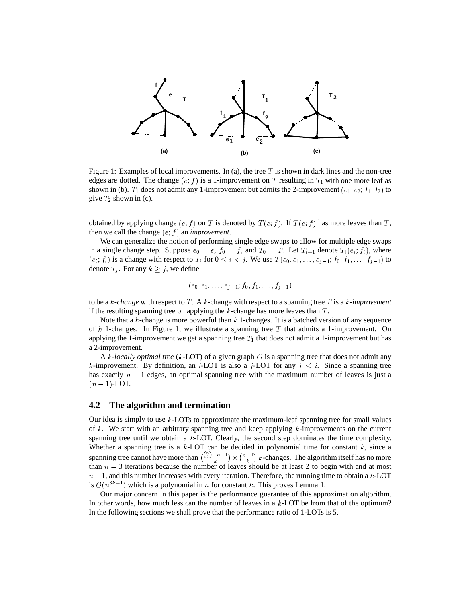

Figure 1: Examples of local improvements. In (a), the tree  $T$  is shown in dark lines and the non-tree edges are dotted. The change  $(e; f)$  is a 1-improvement on T resulting in  $T_1$  with one more leaf as shown in (b).  $T_1$  does not admit any 1-improvement but admits the 2-improvement ( $e_1, e_2; f_1, f_2$ ) to give  $T_2$  shown in (c).

obtained by applying change  $(e; f)$  on T is denoted by  $T(e; f)$ . If  $T(e; f)$  has more leaves than T, then we call the change  $(e; f)$  an *improvement*.

We can generalize the notion of performing single edge swaps to allow for multiple edge swaps in a single change step. Suppose  $e_0 = e$ ,  $f_0 = f$ , and  $T_0 = T$ . Let  $T_{i+1}$  denote  $T_i(e_i; f_i)$ , where  $(e_i; f_i)$  is a change with respect to  $T_i$  for  $0 \le i < j$ . We use  $T(e_0, e_1, \ldots, e_{j-1}; f_0, f_1, \ldots, f_{j-1})$  to denote  $T_i$ . For any  $k \geq j$ , we define

$$
(e_0, e_1, \ldots, e_{j-1}; f_0, f_1, \ldots, f_{j-1})
$$

to be a <sup>k</sup>*-change* with respect to <sup>T</sup> . A <sup>k</sup>-change with respect to a spanning tree <sup>T</sup> is a <sup>k</sup>*-improvement* if the resulting spanning tree on applying the  $k$ -change has more leaves than  $T$ .

Note that a k-change is more powerful than  $k$  1-changes. It is a batched version of any sequence of k 1-changes. In Figure 1, we illustrate a spanning tree T that admits a 1-improvement. On applying the 1-improvement we get a spanning tree  $T_1$  that does not admit a 1-improvement but has a 2-improvement.

A <sup>k</sup>*-locally optimal tree* (k-LOT) of a given graph <sup>G</sup> is a spanning tree that does not admit any k-improvement. By definition, an *i*-LOT is also a *j*-LOT for any  $j < i$ . Since a spanning tree has exactly  $n - 1$  edges, an optimal spanning tree with the maximum number of leaves is just a  $(n-1)$ -LOT.

#### **4.2 The algorithm and termination**

Our idea is simply to use  $k$ -LOTs to approximate the maximum-leaf spanning tree for small values of k. We start with an arbitrary spanning tree and keep applying  $k$ -improvements on the current spanning tree until we obtain a  $k$ -LOT. Clearly, the second step dominates the time complexity. Whether a spanning tree is a  $k$ -LOT can be decided in polynomial time for constant  $k$ , since a spanning tree cannot have more than  $\binom{\binom{n}{2}-n+1}{k}$  -  $\binom{n-1}{k}$  $k$ -changes. The algorithm itself has no more than  $n - 3$  iterations because the number of leaves should be at least 2 to begin with and at most  $n-1$ , and this number increases with every iteration. Therefore, the running time to obtain a k-LOT is  $O(n^{3k+1})$  which is a polynomial in n for constant k. This proves Lemma 1.

Our major concern in this paper is the performance guarantee of this approximation algorithm. In other words, how much less can the number of leaves in a  $k$ -LOT be from that of the optimum? In the following sections we shall prove that the performance ratio of 1-LOTs is 5.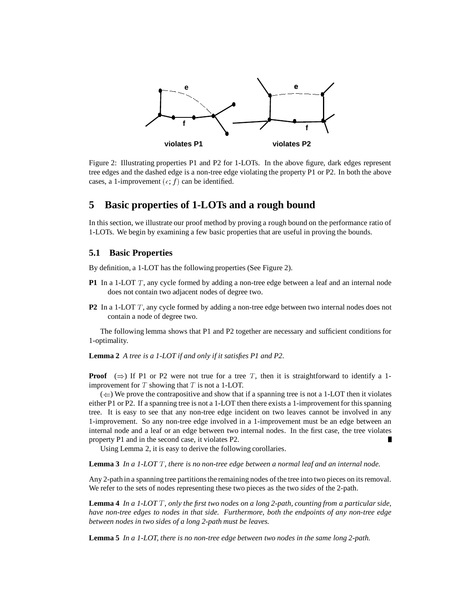

Figure 2: Illustrating properties P1 and P2 for 1-LOTs. In the above figure, dark edges represent tree edges and the dashed edge is a non-tree edge violating the property P1 or P2. In both the above cases, a 1-improvement  $(e; f)$  can be identified.

### **5 Basic properties of 1-LOTs and a rough bound**

In this section, we illustrate our proof method by proving a rough bound on the performance ratio of 1-LOTs. We begin by examining a few basic properties that are useful in proving the bounds.

### **5.1 Basic Properties**

By definition, a 1-LOT has the following properties (See Figure 2).

- **P1** In a 1-LOT T, any cycle formed by adding a non-tree edge between a leaf and an internal node does not contain two adjacent nodes of degree two.
- **P2** In a 1-LOT T, any cycle formed by adding a non-tree edge between two internal nodes does not contain a node of degree two.

The following lemma shows that P1 and P2 together are necessary and sufficient conditions for 1-optimality.

**Lemma 2** *A tree is a 1-LOT if and only if it satisfies P1 and P2.*

**Proof**  $(\Rightarrow)$  If P1 or P2 were not true for a tree T, then it is straightforward to identify a 1improvement for  $T$  showing that  $T$  is not a 1-LOT.

 $(\Leftarrow)$  We prove the contrapositive and show that if a spanning tree is not a 1-LOT then it violates either P1 or P2. If a spanning tree is not a 1-LOT then there exists a 1-improvement for this spanning tree. It is easy to see that any non-tree edge incident on two leaves cannot be involved in any 1-improvement. So any non-tree edge involved in a 1-improvement must be an edge between an internal node and a leaf or an edge between two internal nodes. In the first case, the tree violates property P1 and in the second case, it violates P2.

Using Lemma 2, it is easy to derive the following corollaries.

**Lemma 3** *In a 1-LOT* <sup>T</sup> *, there is no non-tree edge between a normal leaf and an internal node.*

Any 2-path in a spanning tree partitions the remaining nodes of the tree into two pieces on its removal. We refer to the sets of nodes representing these two pieces as the two *sides* of the 2-path.

**Lemma 4** *In a 1-LOT* <sup>T</sup> *, only the first two nodes on a long 2-path, counting from a particular side, have non-tree edges to nodes in that side. Furthermore, both the endpoints of any non-tree edge between nodes in two sides of a long 2-path must be leaves.*

**Lemma 5** *In a 1-LOT, there is no non-tree edge between two nodes in the same long 2-path.*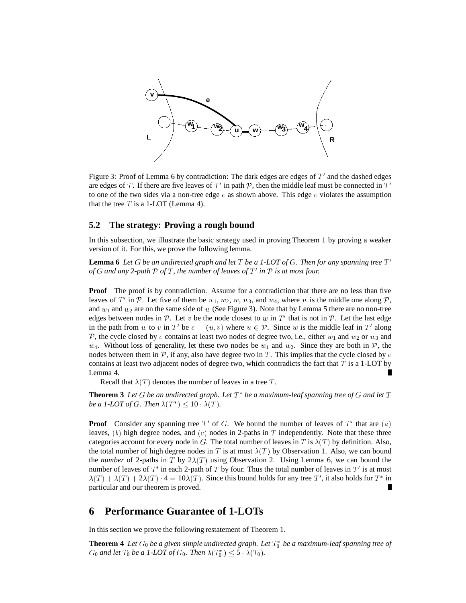

Figure 3: Proof of Lemma 6 by contradiction: The dark edges are edges of  $T'$  and the dashed edges are edges of T. If there are five leaves of T' in path P, then the middle leaf must be connected in  $T'$ to one of the two sides via a non-tree edge  $e$  as shown above. This edge e violates the assumption that the tree  $T$  is a 1-LOT (Lemma 4).

### **5.2 The strategy: Proving a rough bound**

In this subsection, we illustrate the basic strategy used in proving Theorem 1 by proving a weaker version of it. For this, we prove the following lemma.

**Lemma 6** Let G be an undirected graph and let T be a 1-LOT of G. Then for any spanning tree  $T'$ *of*  $G$  and any 2-path  $P$  *of*  $T$ *, the number of leaves of*  $T'$  *in*  $P$  *is at most four.* 

**Proof** The proof is by contradiction. Assume for a contradiction that there are no less than five leaves of T' in P. Let five of them be  $w_1, w_2, w, w_3$ , and  $w_4$ , where w is the middle one along P, and  $w_1$  and  $w_2$  are on the same side of w (See Figure 3). Note that by Lemma 5 there are no non-tree edges between nodes in  $P$ . Let v be the node closest to w in T' that is not in P. Let the last edge in the path from w to v in T' be  $e = (u, v)$  where  $u \in \mathcal{P}$ . Since w is the middle leaf in T' along P, the cycle closed by e contains at least two nodes of degree two, i.e., either  $w_1$  and  $w_2$  or  $w_3$  and  $w_4$ . Without loss of generality, let these two nodes be  $w_1$  and  $w_2$ . Since they are both in  $\mathcal{P}$ , the nodes between them in  $\mathcal{P}$ , if any, also have degree two in T. This implies that the cycle closed by  $\epsilon$ contains at least two adjacent nodes of degree two, which contradicts the fact that  $T$  is a 1-LOT by Lemma 4. Г

Recall that  $\lambda(T)$  denotes the number of leaves in a tree T.

**Theorem 3** Let  $G$  be an undirected graph. Let  $T^*$  be a maximum-leaf spanning tree of  $G$  and let  $T$ *be a 1-LOT of G. Then*  $\lambda(T^*) \leq 10 \cdot \lambda(T)$ *.* 

**Proof** Consider any spanning tree  $T'$  of  $G$ . We bound the number of leaves of  $T'$  that are  $(a)$ leaves,  $(b)$  high degree nodes, and  $(c)$  nodes in 2-paths in T independently. Note that these three categories account for every node in G. The total number of leaves in T is  $\lambda(T)$  by definition. Also, the total number of high degree nodes in T is at most  $\lambda(T)$  by Observation 1. Also, we can bound the *number* of 2-paths in T by  $2\lambda(T)$  using Observation 2. Using Lemma 6, we can bound the number of leaves of T' in each 2-path of T by four. Thus the total number of leaves in T' is at most  $\lambda(T) + \lambda(T) + 2\lambda(T) \cdot 4 = 10\lambda(T)$ . Since this bound holds for any tree T', it also holds for T<sup>\*</sup> in particular and our theorem is proved.

### **6 Performance Guarantee of 1-LOTs**

In this section we prove the following restatement of Theorem 1.

**Theorem 4** Let  $G_0$  be a given simple undirected graph. Let  $T_0^*$  be a maximum-leaf spanning tree of  $G_0$  and let  $T_0$  be a 1-LOT of  $G_0$ . Then  $\lambda(T_0^*) \leq 5 \cdot \lambda(T_0)$ .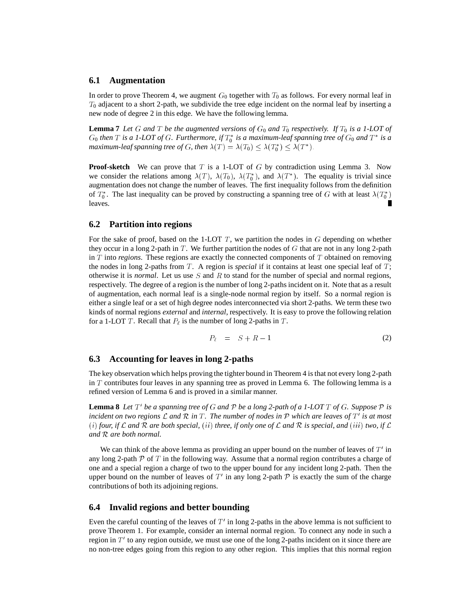#### **6.1 Augmentation**

In order to prove Theorem 4, we augment  $G_0$  together with  $T_0$  as follows. For every normal leaf in  $T_0$  adjacent to a short 2-path, we subdivide the tree edge incident on the normal leaf by inserting a new node of degree 2 in this edge. We have the following lemma.

**Lemma 7** Let G and T be the augmented versions of  $G_0$  and  $T_0$  respectively. If  $T_0$  is a 1-LOT of  $G_0$  then  $T$  is a 1-LOT of  $G$ . Furthermore, if  $T_0^*$  is a maximum-leaf spanning tree of  $G_0$  and  $T^*$  is a *maximum-leaf spanning tree of G, then*  $\lambda(T) = \lambda(T_0) \leq \lambda(T_0^*) \leq \lambda(T^*)$ .

**Proof-sketch** We can prove that T is a 1-LOT of G by contradiction using Lemma 3. Now we consider the relations among  $\lambda(T)$ ,  $\lambda(T_0)$ ,  $\lambda(T_0^*)$ , and  $\lambda(T^*)$ . The equality is trivial since augmentation does not change the number of leaves. The first inequality follows from the definition of  $T_0^*$ . The last inequality can be proved by constructing a spanning tree of G with at least  $\lambda(T_0^*)$ leaves.

### **6.2 Partition into regions**

For the sake of proof, based on the 1-LOT  $T$ , we partition the nodes in  $G$  depending on whether they occur in a long 2-path in  $T$ . We further partition the nodes of  $G$  that are not in any long 2-path in <sup>T</sup> into *regions*. These regions are exactly the connected components of <sup>T</sup> obtained on removing the nodes in long 2-paths from  $T$ . A region is *special* if it contains at least one special leaf of  $T$ ; otherwise it is *normal*. Let us use <sup>S</sup> and <sup>R</sup> to stand for the number of special and normal regions, respectively. The degree of a region is the number of long 2-paths incident on it. Note that as a result of augmentation, each normal leaf is a single-node normal region by itself. So a normal region is either a single leaf or a set of high degree nodes interconnected via short 2-paths. We term these two kinds of normal regions *external* and *internal*, respectively. It is easy to prove the following relation for a 1-LOT T. Recall that  $P_\ell$  is the number of long 2-paths in T.

$$
P_{\ell} = S + R - 1 \tag{2}
$$

#### **6.3 Accounting for leaves in long 2-paths**

The key observation which helps proving the tighter bound in Theorem 4 is that not every long 2-path in  $T$  contributes four leaves in any spanning tree as proved in Lemma 6. The following lemma is a refined version of Lemma 6 and is proved in a similar manner.

**Lemma 8** Let  $T'$  be a spanning tree of G and P be a long 2-path of a 1-LOT T of G. Suppose P is *incident on two regions L and R in* T. The number of nodes in  $\mathcal P$  which are leaves of  $T'$  is at most (*i*) four, if L and R are both special, (*ii*) three, if only one of L and R is special, and (*iii*) two, if L *and* <sup>R</sup> *are both normal.*

We can think of the above lemma as providing an upper bound on the number of leaves of  $T'$  in any long 2-path  $\mathcal P$  of  $T$  in the following way. Assume that a normal region contributes a charge of one and a special region a charge of two to the upper bound for any incident long 2-path. Then the upper bound on the number of leaves of T' in any long 2-path  $P$  is exactly the sum of the charge contributions of both its adjoining regions.

#### **6.4 Invalid regions and better bounding**

Even the careful counting of the leaves of  $T'$  in long 2-paths in the above lemma is not sufficient to prove Theorem 1. For example, consider an internal normal region. To connect any node in such a region in  $T'$  to any region outside, we must use one of the long 2-paths incident on it since there are no non-tree edges going from this region to any other region. This implies that this normal region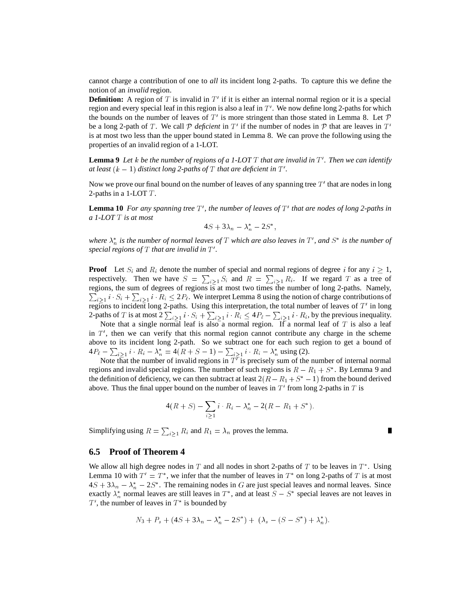cannot charge a contribution of one to *all* its incident long 2-paths. To capture this we define the notion of an *invalid* region.

**Definition:** A region of T is invalid in  $T'$  if it is either an internal normal region or it is a special region and every special leaf in this region is also a leaf in  $T'$ . We now define long 2-paths for which the bounds on the number of leaves of  $T'$  is more stringent than those stated in Lemma 8. Let  $\mathcal P$ be a long 2-path of T. We call P *deficient* in T' if the number of nodes in P that are leaves in T' is at most two less than the upper bound stated in Lemma 8. We can prove the following using the properties of an invalid region of a 1-LOT.

**Lemma 9** Let *k* be the number of regions of a 1-LOT T that are invalid in T'. Then we can identify *at least*  $(k - 1)$  *distinct long 2-paths of*  $T$  *that are deficient in*  $T'$ *.* 

Now we prove our final bound on the number of leaves of any spanning tree  $T'$  that are nodes in long 2-paths in a 1-LOT  $T$ .

**Lemma 10** For any spanning tree  $T'$ , the number of leaves of  $T'$  that are nodes of long 2-paths in *a 1-LOT* <sup>T</sup> *is at most*

$$
4S+3\lambda_n-\lambda_n^*-2S^*,
$$

where  $\lambda_n^*$  is the number of normal leaves of T which are also leaves in T', and S<sup>\*</sup> is the number of special regions of  $T$  that are invalid in  $T'$ .

**Proof** Let  $S_i$  and  $R_i$  denote the number of special and normal regions of degree i for any  $i \geq 1$ , respectively. Then we have  $S = \sum_{i \geq 1} S_i$  and  $R = \sum_{i \geq 1} R_i$ . If we regard T as a tree of regions, the sum of degrees of regions is at most two times the number of long 2-paths. Namely,  $\sum_{i\geq 1} i \cdot S_i + \sum_{i\geq 1} i \cdot R_i \leq 2P_\ell$ . We interpret Lemma 8 using the notion of charge contributions of regions to incident long 2-paths. Using this interpretation, the total number of leaves of  $T'$  in long 2-paths of T is at most  $2\sum_{i\geq 1}i \cdot S_i + \sum_{i\geq 1}i \cdot R_i \leq 4P_\ell - \sum_{i\geq 1}i \cdot R_i$ , by the previous inequality.

Note that a single normal leaf is also a normal region. If a normal leaf of T is also a leaf in  $T'$ , then we can verify that this normal region cannot contribute any charge in the scheme above to its incident long 2-path. So we subtract one for each such region to get a bound of  $4P_{\ell} - \sum_{i \geq 1} i \cdot R_i - \lambda_n^* = 4(R + S - 1) - \sum_{i \geq 1} i \cdot R_i - \lambda_n^*$  using (2).

Note that the number of invalid regions in  $T<sup>T</sup>$  is precisely sum of the number of internal normal regions and invalid special regions. The number of such regions is  $R - R_1 + S^*$ . By Lemma 9 and the definition of deficiency, we can then subtract at least  $2(R - R_1 + S^* - 1)$  from the bound derived above. Thus the final upper bound on the number of leaves in  $T'$  from long 2-paths in  $T$  is

$$
4(R+S) - \sum_{i\geq 1} i \cdot R_i - \lambda_n^* - 2(R - R_1 + S^*).
$$

П

Simplifying using  $R = \sum_{i \geq 1} R_i$  and  $R_1 = \lambda_n$  proves the lemma.

#### **6.5 Proof of Theorem 4**

We allow all high degree nodes in  $T$  and all nodes in short 2-paths of  $T$  to be leaves in  $T^*$ . Using Lemma 10 with  $T' = T^*$ , we infer that the number of leaves in  $T^*$  on long 2-paths of T is at most  $4S + 3\lambda_n - \lambda_n^* - 2S^*$ . The remaining nodes in G are just special leaves and normal leaves. Since exactly  $\lambda_n^*$  normal leaves are still leaves in  $T^*$ , and at least  $S - S^*$  special leaves are not leaves in  $T'$ , the number of leaves in  $T^*$  is bounded by

$$
N_3 + P_s + (4S + 3\lambda_n - \lambda_n^* - 2S^*) + (\lambda_s - (S - S^*) + \lambda_n^*).
$$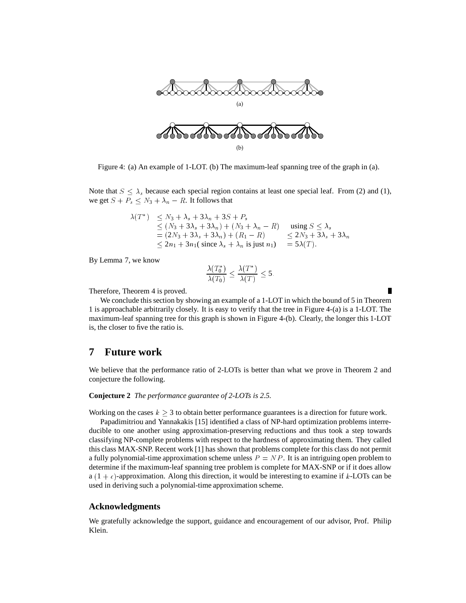

Figure 4: (a) An example of 1-LOT. (b) The maximum-leaf spanning tree of the graph in (a).

Note that  $S \leq \lambda_s$  because each special region contains at least one special leaf. From (2) and (1), we get  $S + P_s \leq N_3 + \lambda_n - R$ . It follows that

$$
\lambda(T^*) \le N_3 + \lambda_s + 3\lambda_n + 3S + P_s
$$
  
\n
$$
\le (N_3 + 3\lambda_s + 3\lambda_n) + (N_3 + \lambda_n - R)
$$
 using  $S \le \lambda_s$   
\n
$$
= (2N_3 + 3\lambda_s + 3\lambda_n) + (R_1 - R)
$$
  
\n
$$
\le 2N_3 + 3\lambda_s + 3\lambda_n
$$
  
\n
$$
\le 2n_1 + 3n_1(\text{ since } \lambda_s + \lambda_n \text{ is just } n_1) = 5\lambda(T).
$$

By Lemma 7, we know

$$
\frac{\lambda(T_0^*)}{\lambda(T_0)} \le \frac{\lambda(T^*)}{\lambda(T)} \le 5.
$$

Therefore, Theorem 4 is proved.

We conclude this section by showing an example of a 1-LOT in which the bound of 5 in Theorem 1 is approachable arbitrarily closely. It is easy to verify that the tree in Figure 4-(a) is a 1-LOT. The maximum-leaf spanning tree for this graph is shown in Figure 4-(b). Clearly, the longer this 1-LOT is, the closer to five the ratio is.

### **7 Future work**

We believe that the performance ratio of 2-LOTs is better than what we prove in Theorem 2 and conjecture the following.

#### **Conjecture 2** *The performance guarantee of 2-LOTs is 2.5.*

Working on the cases  $k \geq 3$  to obtain better performance guarantees is a direction for future work.

Papadimitriou and Yannakakis [15] identified a class of NP-hard optimization problems interreducible to one another using approximation-preserving reductions and thus took a step towards classifying NP-complete problems with respect to the hardness of approximating them. They called this class MAX-SNP. Recent work [1] has shown that problems complete for this class do not permit a fully polynomial-time approximation scheme unless  $P = NP$ . It is an intriguing open problem to determine if the maximum-leaf spanning tree problem is complete for MAX-SNP or if it does allow  $a(1 + \epsilon)$ -approximation. Along this direction, it would be interesting to examine if k-LOTs can be used in deriving such a polynomial-time approximation scheme.

#### **Acknowledgments**

We gratefully acknowledge the support, guidance and encouragement of our advisor, Prof. Philip Klein.